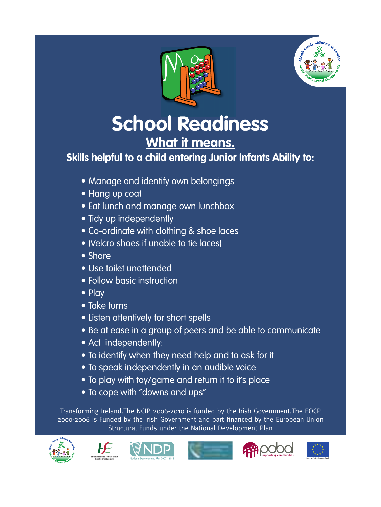



# **School Readiness What it means.**

**Skills helpful to a child entering Junior Infants Ability to:**

- Manage and identify own belongings
- • Hang up coat
- Eat lunch and manage own lunchbox
- Tidy up independently
- • Co-ordinate with clothing & shoe laces
- • (Velcro shoes if unable to tie laces)
- • Share
- • Use toilet unattended
- • Follow basic instruction
- Play
- • Take turns
- Listen attentively for short spells
- Be at ease in a group of peers and be able to communicate
- Act independently:
- To identify when they need help and to ask for it
- To speak independently in an audible voice
- To play with toy/game and return it to it's place
- To cope with "downs and ups"

Transforming Ireland.The NCIP 2006-2010 is funded by the Irish Government.The EOCP 2000-2006 is Funded by the Irish Government and part financed by the European Union Structural Funds under the National Development Plan